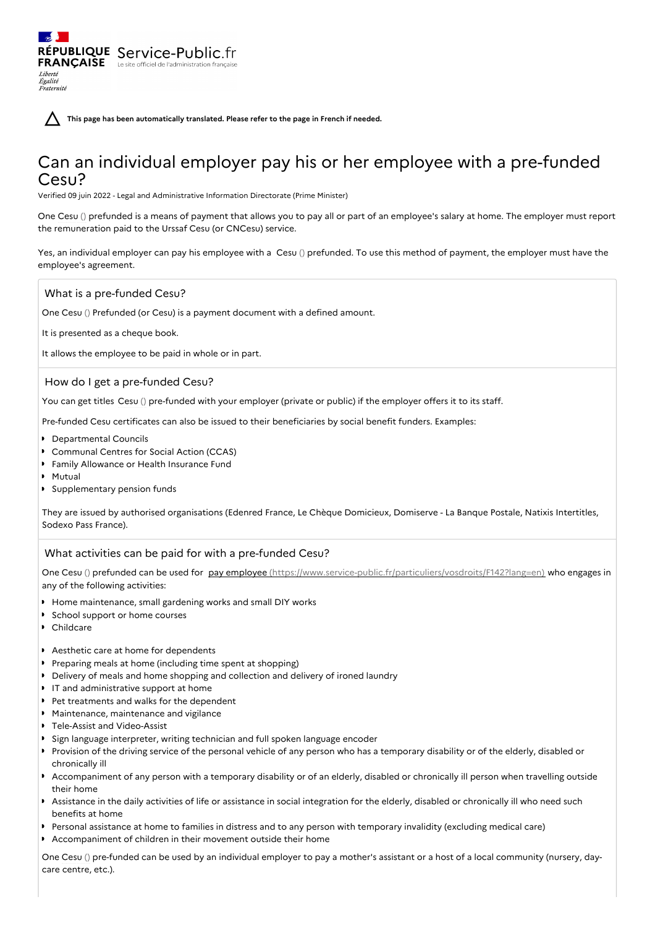**This page has been automatically translated. Please refer to the page in French if needed.**

# Can an individual employer pay his or her employee with a pre-funded Cesu?

Verified 09 juin 2022 - Legal and Administrative Information Directorate (Prime Minister)

One Cesu () prefunded is a means of payment that allows you to pay all or part of an employee's salary at home. The employer must report the remuneration paid to the Urssaf Cesu (or CNCesu) service.

Yes, an individual employer can pay his employee with a Cesu () prefunded. To use this method of payment, the employer must have the employee's agreement.

## What is a pre-funded Cesu?

RÉPUBLIQUE Service-Public.fr **FRANÇAISE** Le site officiel de l'administration fran

Liberté Égalité Fraternité

One Cesu () Prefunded (or Cesu) is a payment document with a defined amount.

It is presented as a cheque book.

It allows the employee to be paid in whole or in part.

### How do I get a pre-funded Cesu?

You can get titles Cesu () pre-funded with your employer (private or public) if the employer offers it to its staff.

Pre-funded Cesu certificates can also be issued to their beneficiaries by social benefit funders. Examples:

- **Departmental Councils**
- Communal Centres for Social Action (CCAS)
- Family Allowance or Health Insurance Fund
- Mutual
- Supplementary pension funds

They are issued by authorised organisations (Edenred France, Le Chèque Domicieux, Domiserve - La Banque Postale, Natixis Intertitles, Sodexo Pass France).

### What activities can be paid for with a pre-funded Cesu?

One Cesu () prefunded can be used for pay employee [\(https://www.service-public.fr/particuliers/vosdroits/F142?lang=en\)](https://www.service-public.fr/particuliers/vosdroits/F142?lang=en) who engages in any of the following activities:

- Home maintenance, small gardening works and small DIY works
- **School support or home courses**
- Childcare
- Aesthetic care at home for dependents
- Preparing meals at home (including time spent at shopping)
- **Delivery of meals and home shopping and collection and delivery of ironed laundry**
- I IT and administrative support at home
- Pet treatments and walks for the dependent
- Maintenance, maintenance and vigilance
- Tele-Assist and Video-Assist
- **Sign language interpreter, writing technician and full spoken language encoder**
- Provision of the driving service of the personal vehicle of any person who has a temporary disability or of the elderly, disabled or chronically ill
- Accompaniment of any person with a temporary disability or of an elderly, disabled or chronically ill person when travelling outside their home
- Assistance in the daily activities of life or assistance in social integration for the elderly, disabled or chronically ill who need such benefits at home
- Personal assistance at home to families in distress and to any person with temporary invalidity (excluding medical care)
- Accompaniment of children in their movement outside their home

One Cesu () pre-funded can be used by an individual employer to pay a mother's assistant or a host of a local community (nursery, daycare centre, etc.).